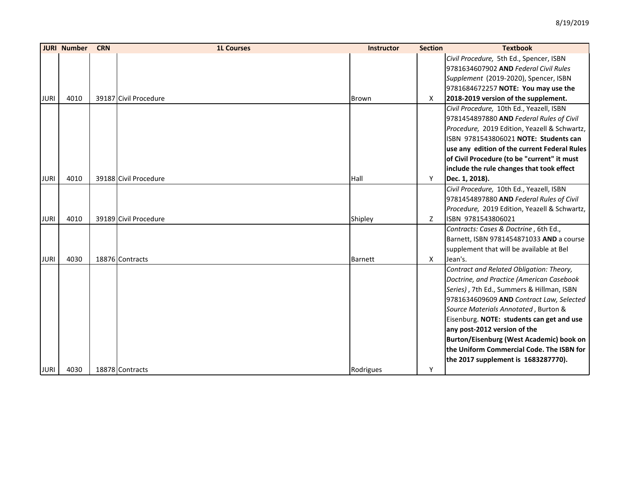|             | <b>JURI Number</b> | <b>CRN</b> | <b>1L Courses</b>     | <b>Instructor</b> | <b>Section</b> | <b>Textbook</b>                              |
|-------------|--------------------|------------|-----------------------|-------------------|----------------|----------------------------------------------|
|             |                    |            |                       |                   |                | Civil Procedure, 5th Ed., Spencer, ISBN      |
|             |                    |            |                       |                   |                | 9781634607902 AND Federal Civil Rules        |
|             |                    |            |                       |                   |                | Supplement (2019-2020), Spencer, ISBN        |
|             |                    |            |                       |                   |                | 9781684672257 NOTE: You may use the          |
| <b>JURI</b> | 4010               |            | 39187 Civil Procedure | <b>Brown</b>      | X              | 2018-2019 version of the supplement.         |
|             |                    |            |                       |                   |                | Civil Procedure, 10th Ed., Yeazell, ISBN     |
|             |                    |            |                       |                   |                | 9781454897880 AND Federal Rules of Civil     |
|             |                    |            |                       |                   |                | Procedure, 2019 Edition, Yeazell & Schwartz, |
|             |                    |            |                       |                   |                | ISBN 9781543806021 NOTE: Students can        |
|             |                    |            |                       |                   |                | use any edition of the current Federal Rules |
|             |                    |            |                       |                   |                | of Civil Procedure (to be "current" it must  |
|             |                    |            |                       |                   |                | include the rule changes that took effect    |
| <b>JURI</b> | 4010               |            | 39188 Civil Procedure | Hall              | Y              | Dec. 1, 2018).                               |
|             |                    |            |                       |                   |                | Civil Procedure, 10th Ed., Yeazell, ISBN     |
|             |                    |            |                       |                   |                | 9781454897880 AND Federal Rules of Civil     |
|             |                    |            |                       |                   |                | Procedure, 2019 Edition, Yeazell & Schwartz, |
| <b>JURI</b> | 4010               |            | 39189 Civil Procedure | Shipley           | Z              | ISBN 9781543806021                           |
|             |                    |            |                       |                   |                | Contracts: Cases & Doctrine, 6th Ed.,        |
|             |                    |            |                       |                   |                | Barnett, ISBN 9781454871033 AND a course     |
|             |                    |            |                       |                   |                | supplement that will be available at Bel     |
| <b>JURI</b> | 4030               |            | 18876 Contracts       | Barnett           | X              | Jean's.                                      |
|             |                    |            |                       |                   |                | Contract and Related Obligation: Theory,     |
|             |                    |            |                       |                   |                | Doctrine, and Practice (American Casebook    |
|             |                    |            |                       |                   |                | Series), 7th Ed., Summers & Hillman, ISBN    |
|             |                    |            |                       |                   |                | 9781634609609 AND Contract Law, Selected     |
|             |                    |            |                       |                   |                | Source Materials Annotated, Burton &         |
|             |                    |            |                       |                   |                | Eisenburg. NOTE: students can get and use    |
|             |                    |            |                       |                   |                | any post-2012 version of the                 |
|             |                    |            |                       |                   |                | Burton/Eisenburg (West Academic) book on     |
|             |                    |            |                       |                   |                | the Uniform Commercial Code. The ISBN for    |
|             |                    |            |                       |                   |                | the 2017 supplement is 1683287770).          |
| <b>JURI</b> | 4030               |            | 18878 Contracts       | Rodrigues         | Y              |                                              |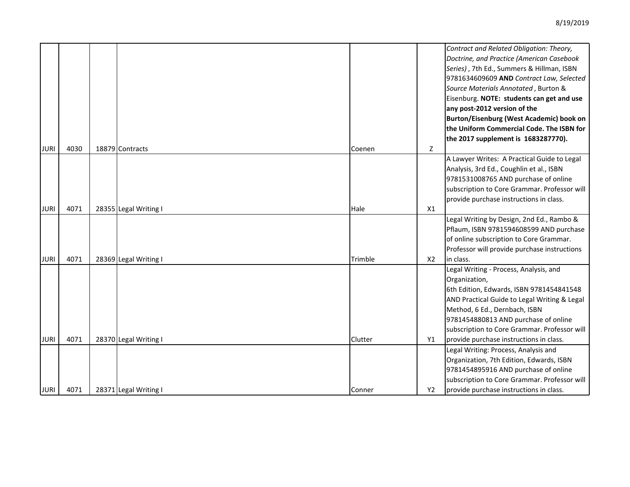|             |      |                       |         |                | Contract and Related Obligation: Theory,<br>Doctrine, and Practice (American Casebook<br>Series), 7th Ed., Summers & Hillman, ISBN<br>9781634609609 AND Contract Law, Selected<br>Source Materials Annotated, Burton &<br>Eisenburg. NOTE: students can get and use<br>any post-2012 version of the<br>Burton/Eisenburg (West Academic) book on<br>the Uniform Commercial Code. The ISBN for<br>the 2017 supplement is 1683287770). |
|-------------|------|-----------------------|---------|----------------|-------------------------------------------------------------------------------------------------------------------------------------------------------------------------------------------------------------------------------------------------------------------------------------------------------------------------------------------------------------------------------------------------------------------------------------|
| <b>JURI</b> | 4030 | 18879 Contracts       | Coenen  | Z              |                                                                                                                                                                                                                                                                                                                                                                                                                                     |
|             |      |                       |         |                | A Lawyer Writes: A Practical Guide to Legal<br>Analysis, 3rd Ed., Coughlin et al., ISBN                                                                                                                                                                                                                                                                                                                                             |
|             |      |                       |         |                | 9781531008765 AND purchase of online                                                                                                                                                                                                                                                                                                                                                                                                |
|             |      |                       |         |                | subscription to Core Grammar. Professor will                                                                                                                                                                                                                                                                                                                                                                                        |
|             |      |                       |         |                | provide purchase instructions in class.                                                                                                                                                                                                                                                                                                                                                                                             |
| <b>JURI</b> | 4071 | 28355 Legal Writing I | Hale    | X1             |                                                                                                                                                                                                                                                                                                                                                                                                                                     |
|             |      |                       |         |                | Legal Writing by Design, 2nd Ed., Rambo &                                                                                                                                                                                                                                                                                                                                                                                           |
|             |      |                       |         |                | Pflaum, ISBN 9781594608599 AND purchase                                                                                                                                                                                                                                                                                                                                                                                             |
|             |      |                       |         |                | of online subscription to Core Grammar.                                                                                                                                                                                                                                                                                                                                                                                             |
|             |      |                       |         |                | Professor will provide purchase instructions                                                                                                                                                                                                                                                                                                                                                                                        |
| <b>JURI</b> | 4071 | 28369 Legal Writing I | Trimble | X <sub>2</sub> | in class.                                                                                                                                                                                                                                                                                                                                                                                                                           |
|             |      |                       |         |                | Legal Writing - Process, Analysis, and                                                                                                                                                                                                                                                                                                                                                                                              |
|             |      |                       |         |                | Organization,                                                                                                                                                                                                                                                                                                                                                                                                                       |
|             |      |                       |         |                | 6th Edition, Edwards, ISBN 9781454841548                                                                                                                                                                                                                                                                                                                                                                                            |
|             |      |                       |         |                | AND Practical Guide to Legal Writing & Legal                                                                                                                                                                                                                                                                                                                                                                                        |
|             |      |                       |         |                | Method, 6 Ed., Dernbach, ISBN                                                                                                                                                                                                                                                                                                                                                                                                       |
|             |      |                       |         |                | 9781454880813 AND purchase of online                                                                                                                                                                                                                                                                                                                                                                                                |
|             |      |                       |         |                | subscription to Core Grammar. Professor will                                                                                                                                                                                                                                                                                                                                                                                        |
| <b>JURI</b> | 4071 | 28370 Legal Writing I | Clutter | Y1             | provide purchase instructions in class.                                                                                                                                                                                                                                                                                                                                                                                             |
|             |      |                       |         |                | Legal Writing: Process, Analysis and                                                                                                                                                                                                                                                                                                                                                                                                |
|             |      |                       |         |                | Organization, 7th Edition, Edwards, ISBN                                                                                                                                                                                                                                                                                                                                                                                            |
|             |      |                       |         |                | 9781454895916 AND purchase of online                                                                                                                                                                                                                                                                                                                                                                                                |
|             |      |                       |         |                | subscription to Core Grammar. Professor will                                                                                                                                                                                                                                                                                                                                                                                        |
| <b>JURI</b> | 4071 | 28371 Legal Writing I | Conner  | Y2             | provide purchase instructions in class.                                                                                                                                                                                                                                                                                                                                                                                             |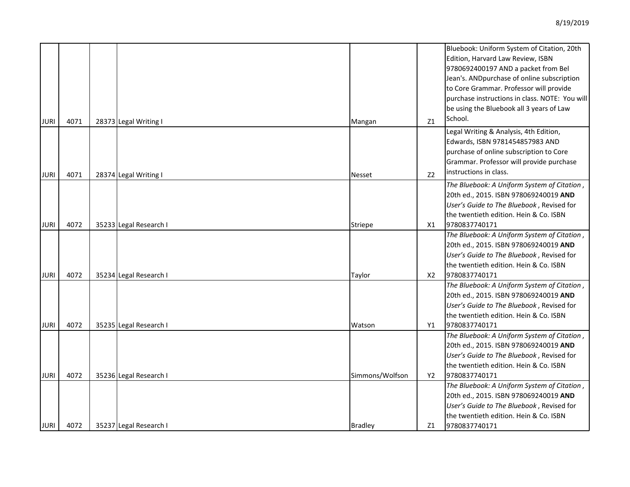|             |      |                        |                 |                | Bluebook: Uniform System of Citation, 20th     |
|-------------|------|------------------------|-----------------|----------------|------------------------------------------------|
|             |      |                        |                 |                | Edition, Harvard Law Review, ISBN              |
|             |      |                        |                 |                | 9780692400197 AND a packet from Bel            |
|             |      |                        |                 |                | Jean's. ANDpurchase of online subscription     |
|             |      |                        |                 |                | to Core Grammar. Professor will provide        |
|             |      |                        |                 |                | purchase instructions in class. NOTE: You will |
|             |      |                        |                 |                | be using the Bluebook all 3 years of Law       |
| <b>JURI</b> | 4071 | 28373 Legal Writing I  | Mangan          | Z1             | School.                                        |
|             |      |                        |                 |                | Legal Writing & Analysis, 4th Edition,         |
|             |      |                        |                 |                | Edwards, ISBN 9781454857983 AND                |
|             |      |                        |                 |                | purchase of online subscription to Core        |
|             |      |                        |                 |                | Grammar. Professor will provide purchase       |
| JURI        | 4071 | 28374 Legal Writing I  | <b>Nesset</b>   | Z <sub>2</sub> | instructions in class.                         |
|             |      |                        |                 |                | The Bluebook: A Uniform System of Citation,    |
|             |      |                        |                 |                | 20th ed., 2015. ISBN 978069240019 AND          |
|             |      |                        |                 |                | User's Guide to The Bluebook, Revised for      |
|             |      |                        |                 |                | the twentieth edition. Hein & Co. ISBN         |
| <b>JURI</b> | 4072 | 35233 Legal Research I | <b>Striepe</b>  | X1             | 9780837740171                                  |
|             |      |                        |                 |                | The Bluebook: A Uniform System of Citation,    |
|             |      |                        |                 |                | 20th ed., 2015. ISBN 978069240019 AND          |
|             |      |                        |                 |                | User's Guide to The Bluebook, Revised for      |
|             |      |                        |                 |                | the twentieth edition. Hein & Co. ISBN         |
| JURI        | 4072 | 35234 Legal Research I | Taylor          | X2             | 9780837740171                                  |
|             |      |                        |                 |                | The Bluebook: A Uniform System of Citation,    |
|             |      |                        |                 |                | 20th ed., 2015. ISBN 978069240019 AND          |
|             |      |                        |                 |                | User's Guide to The Bluebook, Revised for      |
|             |      |                        |                 |                | the twentieth edition. Hein & Co. ISBN         |
| <b>JURI</b> | 4072 | 35235 Legal Research I | Watson          | Y1             | 9780837740171                                  |
|             |      |                        |                 |                | The Bluebook: A Uniform System of Citation,    |
|             |      |                        |                 |                | 20th ed., 2015. ISBN 978069240019 AND          |
|             |      |                        |                 |                | User's Guide to The Bluebook, Revised for      |
|             |      |                        |                 |                | the twentieth edition. Hein & Co. ISBN         |
| <b>JURI</b> | 4072 | 35236 Legal Research I | Simmons/Wolfson | Y2             | 9780837740171                                  |
|             |      |                        |                 |                | The Bluebook: A Uniform System of Citation,    |
|             |      |                        |                 |                | 20th ed., 2015. ISBN 978069240019 AND          |
|             |      |                        |                 |                | User's Guide to The Bluebook, Revised for      |
|             |      |                        |                 |                | the twentieth edition. Hein & Co. ISBN         |
| JURI        | 4072 | 35237 Legal Research I | Bradley         | Z1             | 9780837740171                                  |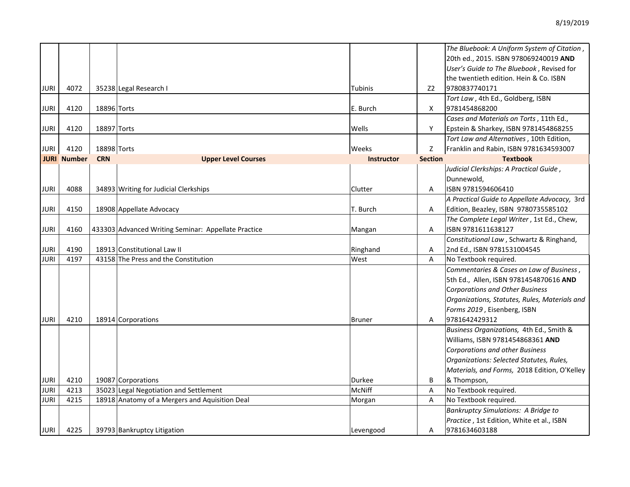|             |                    |             |                                                     |                   |                | The Bluebook: A Uniform System of Citation,   |
|-------------|--------------------|-------------|-----------------------------------------------------|-------------------|----------------|-----------------------------------------------|
|             |                    |             |                                                     |                   |                | 20th ed., 2015. ISBN 978069240019 AND         |
|             |                    |             |                                                     |                   |                | User's Guide to The Bluebook, Revised for     |
|             |                    |             |                                                     |                   |                | the twentieth edition. Hein & Co. ISBN        |
| JURI        | 4072               |             | 35238 Legal Research I                              | <b>Tubinis</b>    | Z <sub>2</sub> | 9780837740171                                 |
|             |                    |             |                                                     |                   |                | Tort Law, 4th Ed., Goldberg, ISBN             |
| JURI        | 4120               | 18896 Torts |                                                     | E. Burch          | X              | 9781454868200                                 |
|             |                    |             |                                                     |                   |                | Cases and Materials on Torts, 11th Ed.,       |
| JURI        | 4120               | 18897 Torts |                                                     | Wells             | Y              | Epstein & Sharkey, ISBN 9781454868255         |
|             |                    |             |                                                     |                   |                | Tort Law and Alternatives, 10th Edition,      |
| JURI        | 4120               | 18898 Torts |                                                     | Weeks             | Z              | Franklin and Rabin, ISBN 9781634593007        |
|             | <b>JURI Number</b> | <b>CRN</b>  | <b>Upper Level Courses</b>                          | <b>Instructor</b> | <b>Section</b> | <b>Textbook</b>                               |
|             |                    |             |                                                     |                   |                | Judicial Clerkships: A Practical Guide,       |
|             |                    |             |                                                     |                   |                | Dunnewold,                                    |
| JURI        | 4088               |             | 34893 Writing for Judicial Clerkships               | Clutter           | Α              | ISBN 9781594606410                            |
|             |                    |             |                                                     |                   |                | A Practical Guide to Appellate Advocacy, 3rd  |
| JURI        | 4150               |             | 18908 Appellate Advocacy                            | T. Burch          | Α              | Edition, Beazley, ISBN 9780735585102          |
|             |                    |             |                                                     |                   |                | The Complete Legal Writer, 1st Ed., Chew,     |
| <b>JURI</b> | 4160               |             | 433303 Advanced Writing Seminar: Appellate Practice | Mangan            | Α              | ISBN 9781611638127                            |
|             |                    |             |                                                     |                   |                | Constitutional Law, Schwartz & Ringhand,      |
| JURI        | 4190               |             | 18913 Constitutional Law II                         | Ringhand          | A              | 2nd Ed., ISBN 9781531004545                   |
| JURI        | 4197               |             | 43158 The Press and the Constitution                | West              | A              | No Textbook required.                         |
|             |                    |             |                                                     |                   |                | Commentaries & Cases on Law of Business,      |
|             |                    |             |                                                     |                   |                | 5th Ed., Allen, ISBN 9781454870616 AND        |
|             |                    |             |                                                     |                   |                | <b>Corporations and Other Business</b>        |
|             |                    |             |                                                     |                   |                | Organizations, Statutes, Rules, Materials and |
|             |                    |             |                                                     |                   |                | Forms 2019, Eisenberg, ISBN                   |
| JURI        | 4210               |             | 18914 Corporations                                  | <b>Bruner</b>     | Α              | 9781642429312                                 |
|             |                    |             |                                                     |                   |                | Business Organizations, 4th Ed., Smith &      |
|             |                    |             |                                                     |                   |                | Williams, ISBN 9781454868361 AND              |
|             |                    |             |                                                     |                   |                | <b>Corporations and other Business</b>        |
|             |                    |             |                                                     |                   |                | Organizations: Selected Statutes, Rules,      |
|             |                    |             |                                                     |                   |                | Materials, and Forms, 2018 Edition, O'Kelley  |
| JURI        | 4210               |             | 19087 Corporations                                  | <b>Durkee</b>     | B              | & Thompson,                                   |
| JURI        | 4213               |             | 35023 Legal Negotiation and Settlement              | McNiff            | Α              | No Textbook required.                         |
| JURI        | 4215               |             | 18918 Anatomy of a Mergers and Aquisition Deal      | Morgan            | Α              | No Textbook required.                         |
|             |                    |             |                                                     |                   |                | <b>Bankruptcy Simulations: A Bridge to</b>    |
|             |                    |             |                                                     |                   |                | Practice, 1st Edition, White et al., ISBN     |
| JURI        | 4225               |             | 39793 Bankruptcy Litigation                         | Levengood         | Α              | 9781634603188                                 |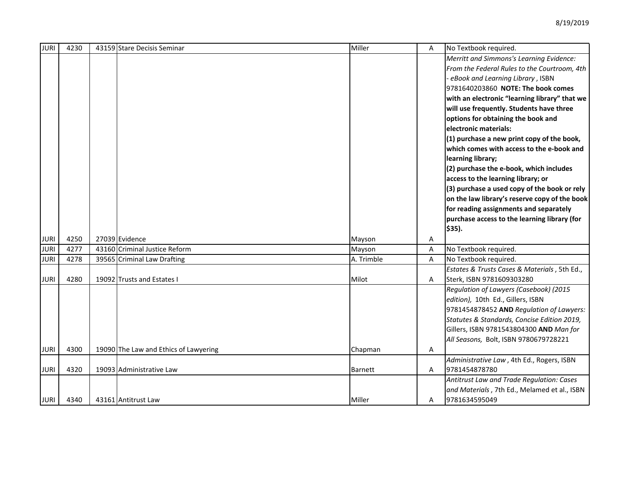| <b>JURI</b> | 4230 | 43159 Stare Decisis Seminar           | Miller         | A | No Textbook required.                         |
|-------------|------|---------------------------------------|----------------|---|-----------------------------------------------|
|             |      |                                       |                |   | Merritt and Simmons's Learning Evidence:      |
|             |      |                                       |                |   | From the Federal Rules to the Courtroom, 4th  |
|             |      |                                       |                |   | eBook and Learning Library, ISBN              |
|             |      |                                       |                |   | 9781640203860 NOTE: The book comes            |
|             |      |                                       |                |   | with an electronic "learning library" that we |
|             |      |                                       |                |   | will use frequently. Students have three      |
|             |      |                                       |                |   | options for obtaining the book and            |
|             |      |                                       |                |   | electronic materials:                         |
|             |      |                                       |                |   | (1) purchase a new print copy of the book,    |
|             |      |                                       |                |   | which comes with access to the e-book and     |
|             |      |                                       |                |   | learning library;                             |
|             |      |                                       |                |   | (2) purchase the e-book, which includes       |
|             |      |                                       |                |   | access to the learning library; or            |
|             |      |                                       |                |   | (3) purchase a used copy of the book or rely  |
|             |      |                                       |                |   | on the law library's reserve copy of the book |
|             |      |                                       |                |   | for reading assignments and separately        |
|             |      |                                       |                |   | purchase access to the learning library (for  |
|             |      |                                       |                |   | $$35$ ).                                      |
| <b>JURI</b> | 4250 | 27039 Evidence                        | Mayson         | Α |                                               |
| <b>JURI</b> | 4277 | 43160 Criminal Justice Reform         | Mayson         | A | No Textbook required.                         |
| <b>JURI</b> | 4278 | 39565 Criminal Law Drafting           | A. Trimble     | A | No Textbook required.                         |
|             |      |                                       |                |   | Estates & Trusts Cases & Materials, 5th Ed.,  |
| JURI        | 4280 | 19092 Trusts and Estates I            | Milot          | A | Sterk, ISBN 9781609303280                     |
|             |      |                                       |                |   | Regulation of Lawyers (Casebook) (2015        |
|             |      |                                       |                |   | edition), 10th Ed., Gillers, ISBN             |
|             |      |                                       |                |   | 9781454878452 AND Regulation of Lawyers:      |
|             |      |                                       |                |   | Statutes & Standards, Concise Edition 2019,   |
|             |      |                                       |                |   | Gillers, ISBN 9781543804300 AND Man for       |
|             |      |                                       |                |   | All Seasons, Bolt, ISBN 9780679728221         |
| <b>JURI</b> | 4300 | 19090 The Law and Ethics of Lawyering | Chapman        | A |                                               |
|             |      |                                       |                |   | Administrative Law, 4th Ed., Rogers, ISBN     |
| JURI        | 4320 | 19093 Administrative Law              | <b>Barnett</b> | A | 9781454878780                                 |
|             |      |                                       |                |   | Antitrust Law and Trade Regulation: Cases     |
|             |      |                                       |                |   | and Materials, 7th Ed., Melamed et al., ISBN  |
| JURI        | 4340 | 43161 Antitrust Law                   | Miller         | A | 9781634595049                                 |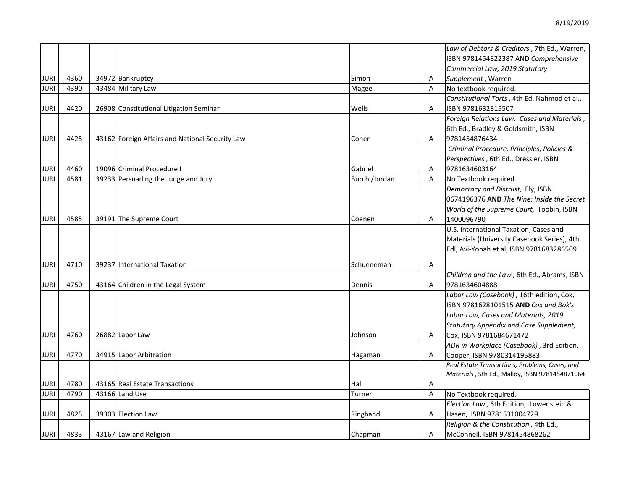|             |      |                                                 |               |   | Law of Debtors & Creditors, 7th Ed., Warren,   |
|-------------|------|-------------------------------------------------|---------------|---|------------------------------------------------|
|             |      |                                                 |               |   | ISBN 9781454822387 AND Comprehensive           |
|             |      |                                                 |               |   | Commercial Law, 2019 Statutory                 |
| <b>JURI</b> | 4360 | 34972 Bankruptcy                                | Simon         | Α | Supplement, Warren                             |
| <b>JURI</b> | 4390 | 43484 Military Law                              | Magee         | A | No textbook required.                          |
|             |      |                                                 |               |   | Constitutional Torts, 4th Ed. Nahmod et al.,   |
| JURI        | 4420 | 26908 Constitutional Litigation Seminar         | Wells         | Α | ISBN 9781632815507                             |
|             |      |                                                 |               |   | Foreign Relations Law: Cases and Materials,    |
|             |      |                                                 |               |   | 6th Ed., Bradley & Goldsmith, ISBN             |
| <b>JURI</b> | 4425 | 43162 Foreign Affairs and National Security Law | Cohen         | Α | 9781454876434                                  |
|             |      |                                                 |               |   | Criminal Procedure, Principles, Policies &     |
|             |      |                                                 |               |   | Perspectives, 6th Ed., Dressler, ISBN          |
| <b>JURI</b> | 4460 | 19096 Criminal Procedure                        | Gabriel       | Α | 9781634603164                                  |
| <b>JURI</b> | 4581 | 39233 Persuading the Judge and Jury             | Burch /Jordan | A | No Textbook required.                          |
|             |      |                                                 |               |   | Democracy and Distrust, Ely, ISBN              |
|             |      |                                                 |               |   | 0674196376 AND The Nine: Inside the Secret     |
|             |      |                                                 |               |   | World of the Supreme Court, Toobin, ISBN       |
| JURI        | 4585 | 39191 The Supreme Court                         | Coenen        | Α | 1400096790                                     |
|             |      |                                                 |               |   | U.S. International Taxation, Cases and         |
|             |      |                                                 |               |   | Materials (University Casebook Series), 4th    |
|             |      |                                                 |               |   | Edl, Avi-Yonah et al, ISBN 9781683286509       |
|             | 4710 |                                                 |               |   |                                                |
| <b>JURI</b> |      | 39237 International Taxation                    | Schueneman    | A |                                                |
|             |      |                                                 |               |   | Children and the Law, 6th Ed., Abrams, ISBN    |
| JURI        | 4750 | 43164 Children in the Legal System              | Dennis        | A | 9781634604888                                  |
|             |      |                                                 |               |   | Labor Law (Casebook), 16th edition, Cox,       |
|             |      |                                                 |               |   | ISBN 9781628101515 AND Cox and Bok's           |
|             |      |                                                 |               |   | Labor Law, Cases and Materials, 2019           |
|             |      |                                                 |               |   | Statutory Appendix and Case Supplement,        |
| <b>JURI</b> | 4760 | 26882 Labor Law                                 | Johnson       | Α | Cox, ISBN 9781684671472                        |
|             |      |                                                 |               |   | ADR in Workplace (Casebook), 3rd Edition,      |
| JURI        | 4770 | 34915 Labor Arbitration                         | Hagaman       | A | Cooper, ISBN 9780314195883                     |
|             |      |                                                 |               |   | Real Estate Transactions, Problems, Cases, and |
|             |      |                                                 |               |   | Materials, 5th Ed., Malloy, ISBN 9781454871064 |
| <b>JURI</b> | 4780 | 43165 Real Estate Transactions                  | Hall          | Α |                                                |
| <b>JURI</b> | 4790 | 43166 Land Use                                  | Turner        | Α | No Textbook required.                          |
|             |      |                                                 |               |   | Election Law, 6th Edition, Lowenstein &        |
| <b>JURI</b> | 4825 | 39303 Election Law                              | Ringhand      | A | Hasen, ISBN 9781531004729                      |
|             |      |                                                 |               |   | Religion & the Constitution, 4th Ed.,          |
| <b>JURI</b> | 4833 | 43167 Law and Religion                          | Chapman       | A | McConnell, ISBN 9781454868262                  |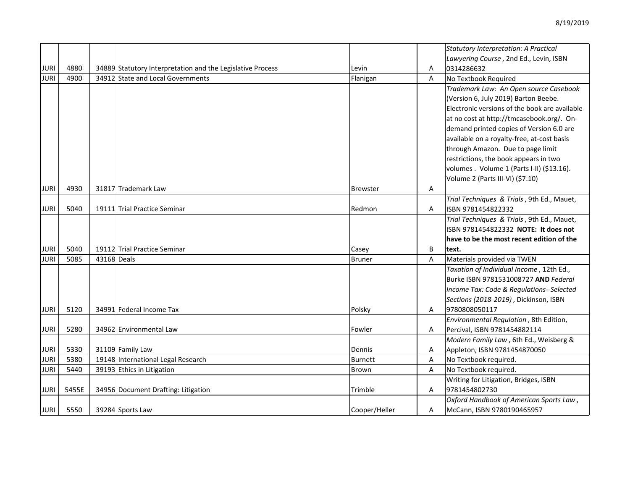|             |       |             |                                                            |                 |   | Statutory Interpretation: A Practical         |
|-------------|-------|-------------|------------------------------------------------------------|-----------------|---|-----------------------------------------------|
|             |       |             |                                                            |                 |   | Lawyering Course, 2nd Ed., Levin, ISBN        |
| <b>JURI</b> | 4880  |             | 34889 Statutory Interpretation and the Legislative Process | Levin           | Α | 0314286632                                    |
| <b>JURI</b> | 4900  |             | 34912 State and Local Governments                          | Flanigan        | A | No Textbook Required                          |
|             |       |             |                                                            |                 |   | Trademark Law: An Open source Casebook        |
|             |       |             |                                                            |                 |   | (Version 6, July 2019) Barton Beebe.          |
|             |       |             |                                                            |                 |   | Electronic versions of the book are available |
|             |       |             |                                                            |                 |   | at no cost at http://tmcasebook.org/. On-     |
|             |       |             |                                                            |                 |   | demand printed copies of Version 6.0 are      |
|             |       |             |                                                            |                 |   | available on a royalty-free, at-cost basis    |
|             |       |             |                                                            |                 |   | through Amazon. Due to page limit             |
|             |       |             |                                                            |                 |   | restrictions, the book appears in two         |
|             |       |             |                                                            |                 |   | volumes . Volume 1 (Parts I-II) (\$13.16).    |
|             |       |             |                                                            |                 |   | Volume 2 (Parts III-VI) (\$7.10)              |
| <b>JURI</b> | 4930  |             | 31817 Trademark Law                                        | <b>Brewster</b> | Α |                                               |
|             |       |             |                                                            |                 |   | Trial Techniques & Trials, 9th Ed., Mauet,    |
| <b>JURI</b> | 5040  |             | 19111 Trial Practice Seminar                               | Redmon          | Α | ISBN 9781454822332                            |
|             |       |             |                                                            |                 |   | Trial Techniques & Trials, 9th Ed., Mauet,    |
|             |       |             |                                                            |                 |   | ISBN 9781454822332 NOTE: It does not          |
|             |       |             |                                                            |                 |   | have to be the most recent edition of the     |
| <b>JURI</b> | 5040  |             | 19112 Trial Practice Seminar                               | Casey           | B | text.                                         |
| <b>JURI</b> | 5085  | 43168 Deals |                                                            | <b>Bruner</b>   | A | Materials provided via TWEN                   |
|             |       |             |                                                            |                 |   | Taxation of Individual Income, 12th Ed.,      |
|             |       |             |                                                            |                 |   | Burke ISBN 9781531008727 AND Federal          |
|             |       |             |                                                            |                 |   | Income Tax: Code & Regulations--Selected      |
|             |       |             |                                                            |                 |   | Sections (2018-2019), Dickinson, ISBN         |
| <b>JURI</b> | 5120  |             | 34991 Federal Income Tax                                   | Polsky          | A | 9780808050117                                 |
|             |       |             |                                                            |                 |   | Environmental Regulation, 8th Edition,        |
| <b>JURI</b> | 5280  |             | 34962 Environmental Law                                    | Fowler          | A | Percival, ISBN 9781454882114                  |
|             |       |             |                                                            |                 |   | Modern Family Law, 6th Ed., Weisberg &        |
| <b>JURI</b> | 5330  |             | 31109 Family Law                                           | Dennis          | Α | Appleton, ISBN 9781454870050                  |
| <b>JURI</b> | 5380  |             | 19148 International Legal Research                         | Burnett         | Α | No Textbook required.                         |
| <b>JURI</b> | 5440  |             | 39193 Ethics in Litigation                                 | Brown           | Α | No Textbook required.                         |
|             |       |             |                                                            |                 |   | Writing for Litigation, Bridges, ISBN         |
| <b>JURI</b> | 5455E |             | 34956 Document Drafting: Litigation                        | Trimble         | A | 9781454802730                                 |
|             |       |             |                                                            |                 |   | Oxford Handbook of American Sports Law,       |
| <b>JURI</b> | 5550  |             | 39284 Sports Law                                           | Cooper/Heller   | Α | McCann, ISBN 9780190465957                    |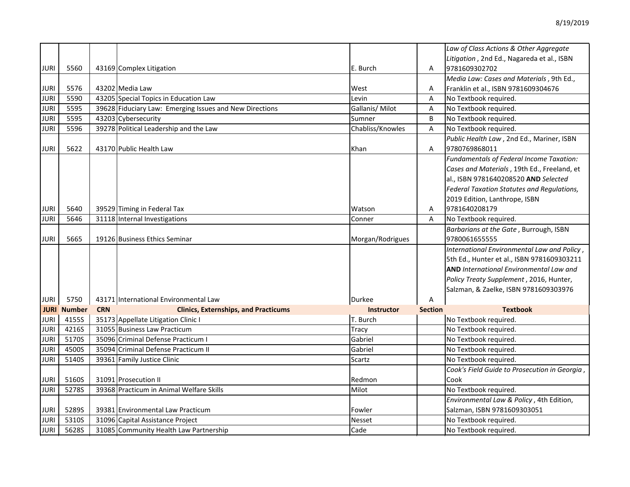|             |                    |            |                                                         |                   |                | Law of Class Actions & Other Aggregate        |
|-------------|--------------------|------------|---------------------------------------------------------|-------------------|----------------|-----------------------------------------------|
|             |                    |            |                                                         |                   |                | Litigation, 2nd Ed., Nagareda et al., ISBN    |
| <b>JURI</b> | 5560               |            | 43169 Complex Litigation                                | E. Burch          | A              | 9781609302702                                 |
|             |                    |            |                                                         |                   |                | Media Law: Cases and Materials, 9th Ed.,      |
| <b>JURI</b> | 5576               |            | 43202 Media Law                                         | West              | Α              | Franklin et al., ISBN 9781609304676           |
| <b>JURI</b> | 5590               |            | 43205 Special Topics in Education Law                   | Levin             | A              | No Textbook required.                         |
| <b>JURI</b> | 5595               |            | 39628 Fiduciary Law: Emerging Issues and New Directions | Gallanis/ Milot   | A              | No Textbook required.                         |
| <b>JURI</b> | 5595               |            | 43203 Cybersecurity                                     | Sumner            | B              | No Textbook required.                         |
| <b>JURI</b> | 5596               |            | 39278 Political Leadership and the Law                  | Chabliss/Knowles  | A              | No Textbook required.                         |
|             |                    |            |                                                         |                   |                | Public Health Law, 2nd Ed., Mariner, ISBN     |
| <b>JURI</b> | 5622               |            | 43170 Public Health Law                                 | Khan              | A              | 9780769868011                                 |
|             |                    |            |                                                         |                   |                | Fundamentals of Federal Income Taxation:      |
|             |                    |            |                                                         |                   |                | Cases and Materials, 19th Ed., Freeland, et   |
|             |                    |            |                                                         |                   |                | al., ISBN 9781640208520 AND Selected          |
|             |                    |            |                                                         |                   |                | Federal Taxation Statutes and Regulations,    |
|             |                    |            |                                                         |                   |                | 2019 Edition, Lanthrope, ISBN                 |
| <b>JURI</b> | 5640               |            | 39529 Timing in Federal Tax                             | Watson            | A              | 9781640208179                                 |
| <b>JURI</b> | 5646               |            | 31118 Internal Investigations                           | Conner            | A              | No Textbook required.                         |
|             |                    |            |                                                         |                   |                | Barbarians at the Gate, Burrough, ISBN        |
| <b>JURI</b> | 5665               |            | 19126 Business Ethics Seminar                           | Morgan/Rodrigues  |                | 9780061655555                                 |
|             |                    |            |                                                         |                   |                | International Environmental Law and Policy,   |
|             |                    |            |                                                         |                   |                | 5th Ed., Hunter et al., ISBN 9781609303211    |
|             |                    |            |                                                         |                   |                | AND International Environmental Law and       |
|             |                    |            |                                                         |                   |                | Policy Treaty Supplement, 2016, Hunter,       |
|             |                    |            |                                                         |                   |                | Salzman, & Zaelke, ISBN 9781609303976         |
| JURI        | 5750               |            | 43171 International Environmental Law                   | Durkee            | А              |                                               |
|             | <b>JURI Number</b> | <b>CRN</b> | <b>Clinics, Externships, and Practicums</b>             | <b>Instructor</b> | <b>Section</b> | <b>Textbook</b>                               |
| <b>JURI</b> | 4155S              |            | 35173 Appellate Litigation Clinic I                     | T. Burch          |                | No Textbook required.                         |
| <b>JURI</b> | 4216S              |            | 31055 Business Law Practicum                            | Tracy             |                | No Textbook required.                         |
| <b>JURI</b> | 5170S              |            | 35096 Criminal Defense Practicum I                      | Gabriel           |                | No Textbook required.                         |
| <b>JURI</b> | 4500S              |            | 35094 Criminal Defense Practicum II                     | Gabriel           |                | No Textbook required.                         |
| <b>JURI</b> | 5140S              |            | 39361 Family Justice Clinic                             | Scartz            |                | No Textbook required.                         |
|             |                    |            |                                                         |                   |                | Cook's Field Guide to Prosecution in Georgia, |
| <b>JURI</b> | 5160S              |            | 31091 Prosecution II                                    | Redmon            |                | Cook                                          |
| <b>JURI</b> | 5278S              |            | 39368 Practicum in Animal Welfare Skills                | Milot             |                | No Textbook required.                         |
|             |                    |            |                                                         |                   |                | Environmental Law & Policy, 4th Edition,      |
| <b>JURI</b> | 5289S              |            | 39381 Environmental Law Practicum                       | Fowler            |                | Salzman, ISBN 9781609303051                   |
| <b>JURI</b> | 5310S              |            | 31096 Capital Assistance Project                        | Nesset            |                | No Textbook required.                         |
| <b>JURI</b> | 5628S              |            | 31085 Community Health Law Partnership                  | Cade              |                | No Textbook required.                         |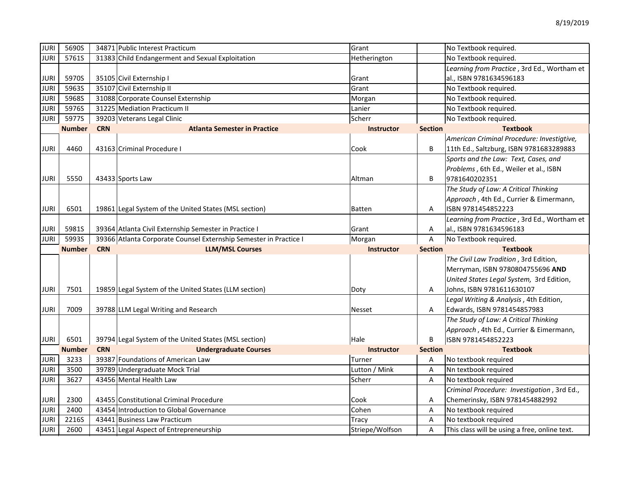| <b>JURI</b>                | 5690S         | 34871 Public Interest Practicum                                        | Grant                    |                | No Textbook required.                                                 |
|----------------------------|---------------|------------------------------------------------------------------------|--------------------------|----------------|-----------------------------------------------------------------------|
| <b>JURI</b>                | 5761S         | 31383 Child Endangerment and Sexual Exploitation                       | Hetherington             |                | No Textbook required.                                                 |
|                            |               |                                                                        |                          |                | Learning from Practice, 3rd Ed., Wortham et                           |
| JURI                       | 5970S         | 35105 Civil Externship I                                               | Grant                    |                | al., ISBN 9781634596183                                               |
| <b>JURI</b>                | 5963S         | 35107 Civil Externship II                                              | Grant                    |                | No Textbook required.                                                 |
| <b>JURI</b>                | 5968S         | 31088 Corporate Counsel Externship                                     | Morgan                   |                | No Textbook required.                                                 |
| <b>JURI</b>                | 5976S         | 31225 Mediation Practicum II                                           | Lanier                   |                | No Textbook required.                                                 |
| JURI                       | 5977S         | 39203 Veterans Legal Clinic                                            | Scherr                   |                | No Textbook required.                                                 |
|                            | <b>Number</b> | <b>CRN</b><br><b>Atlanta Semester in Practice</b>                      | <b>Instructor</b>        | <b>Section</b> | <b>Textbook</b>                                                       |
|                            |               |                                                                        |                          |                | American Criminal Procedure: Investigtive,                            |
| <b>JURI</b>                | 4460          | 43163 Criminal Procedure I                                             | Cook                     | B              | 11th Ed., Saltzburg, ISBN 9781683289883                               |
|                            |               |                                                                        |                          |                | Sports and the Law: Text, Cases, and                                  |
|                            |               |                                                                        |                          |                | Problems, 6th Ed., Weiler et al., ISBN                                |
| <b>JURI</b>                | 5550          | 43433 Sports Law                                                       | Altman                   | B              | 9781640202351                                                         |
|                            |               |                                                                        |                          |                | The Study of Law: A Critical Thinking                                 |
|                            |               |                                                                        |                          |                | Approach, 4th Ed., Currier & Eimermann,                               |
| <b>JURI</b>                | 6501          | 19861 Legal System of the United States (MSL section)                  | <b>Batten</b>            | A              | ISBN 9781454852223                                                    |
|                            |               |                                                                        |                          |                | Learning from Practice, 3rd Ed., Wortham et                           |
| JURI                       | 5981S         | 39364 Atlanta Civil Externship Semester in Practice I                  | Grant                    | Α              | al., ISBN 9781634596183                                               |
|                            | 5993S         | 39366 Atlanta Corporate Counsel Externship Semester in Practice I      | Morgan                   | Α              | No Textbook required.                                                 |
| JURI                       |               |                                                                        |                          |                |                                                                       |
|                            | <b>Number</b> | <b>CRN</b><br><b>LLM/MSL Courses</b>                                   | <b>Instructor</b>        | <b>Section</b> | Textbook                                                              |
|                            |               |                                                                        |                          |                | The Civil Law Tradition, 3rd Edition,                                 |
|                            |               |                                                                        |                          |                | Merryman, ISBN 9780804755696 AND                                      |
|                            |               |                                                                        |                          |                | United States Legal System, 3rd Edition,                              |
| <b>JURI</b>                | 7501          | 19859 Legal System of the United States (LLM section)                  | Doty                     | Α              | Johns, ISBN 9781611630107                                             |
|                            |               |                                                                        |                          |                | Legal Writing & Analysis, 4th Edition,                                |
| <b>JURI</b>                | 7009          | 39788 LLM Legal Writing and Research                                   | <b>Nesset</b>            | Α              | Edwards, ISBN 9781454857983                                           |
|                            |               |                                                                        |                          |                | The Study of Law: A Critical Thinking                                 |
|                            |               |                                                                        |                          |                | Approach, 4th Ed., Currier & Eimermann,                               |
| JURI                       | 6501          | 39794 Legal System of the United States (MSL section)                  | Hale                     | B              | ISBN 9781454852223                                                    |
|                            | <b>Number</b> | <b>CRN</b><br><b>Undergraduate Courses</b>                             | <b>Instructor</b>        | <b>Section</b> | <b>Textbook</b>                                                       |
| <b>JURI</b>                | 3233          | 39387 Foundations of American Law                                      | Turner                   | Α              | No textbook required                                                  |
| <b>JURI</b>                | 3500          | 39789 Undergraduate Mock Trial                                         | Lutton / Mink            | Α              | Nn textbook required                                                  |
| JURI                       | 3627          | 43456 Mental Health Law                                                | Scherr                   | A              | No textbook required                                                  |
|                            |               |                                                                        |                          |                | Criminal Procedure: Investigation, 3rd Ed.,                           |
| <b>JURI</b>                | 2300          | 43455 Constitutional Criminal Procedure                                | Cook                     | Α              | Chemerinsky, ISBN 9781454882992                                       |
| <b>JURI</b>                | 2400          | 43454 Introduction to Global Governance                                | Cohen                    | Α              | No textbook required                                                  |
| <b>JURI</b><br><b>JURI</b> | 2216S         | 43441 Business Law Practicum<br>43451 Legal Aspect of Entrepreneurship | Tracy<br>Striepe/Wolfson | Α              | No textbook required<br>This class will be using a free, online text. |